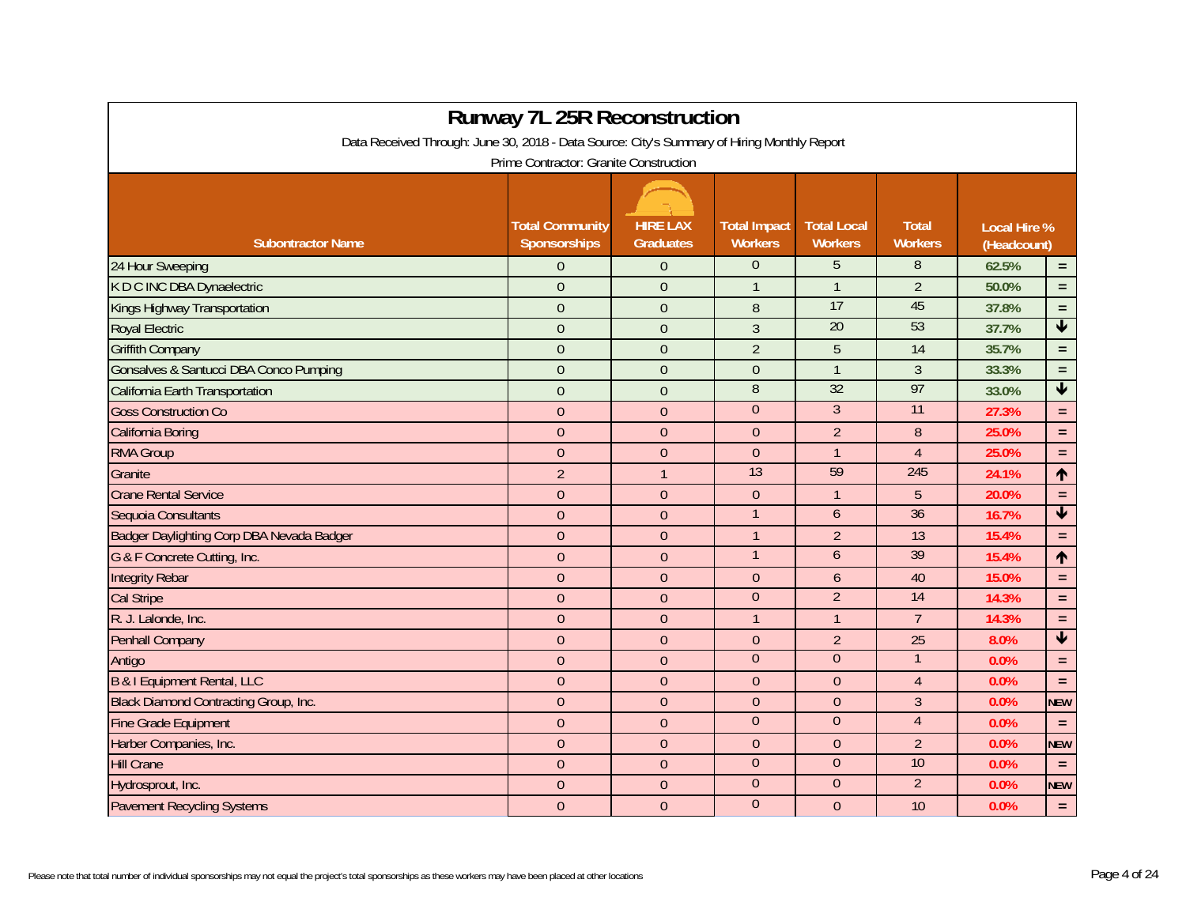| <b>Runway 7L 25R Reconstruction</b>                                                         |                                        |                                     |                                       |                                      |                                |                                    |                         |  |  |  |  |  |  |
|---------------------------------------------------------------------------------------------|----------------------------------------|-------------------------------------|---------------------------------------|--------------------------------------|--------------------------------|------------------------------------|-------------------------|--|--|--|--|--|--|
| Data Received Through: June 30, 2018 - Data Source: City's Summary of Hiring Monthly Report |                                        |                                     |                                       |                                      |                                |                                    |                         |  |  |  |  |  |  |
| Prime Contractor: Granite Construction                                                      |                                        |                                     |                                       |                                      |                                |                                    |                         |  |  |  |  |  |  |
|                                                                                             |                                        |                                     |                                       |                                      |                                |                                    |                         |  |  |  |  |  |  |
| <b>Subontractor Name</b>                                                                    | <b>Total Community</b><br>Sponsorships | <b>HIRE LAX</b><br><b>Graduates</b> | <b>Total Impact</b><br><b>Workers</b> | <b>Total Local</b><br><b>Workers</b> | <b>Total</b><br><b>Workers</b> | <b>Local Hire %</b><br>(Headcount) |                         |  |  |  |  |  |  |
| 24 Hour Sweeping                                                                            | $\overline{0}$                         | $\Omega$                            | $\Omega$                              | 5                                    | 8                              | 62.5%                              | $\equiv$                |  |  |  |  |  |  |
| K D C INC DBA Dynaelectric                                                                  | $\overline{0}$                         | $\theta$                            | $\mathbf{1}$                          | $\mathbf{1}$                         | $\overline{2}$                 | 50.0%                              | $\equiv$                |  |  |  |  |  |  |
| Kings Highway Transportation                                                                | $\overline{0}$                         | $\mathbf 0$                         | 8                                     | 17                                   | 45                             | 37.8%                              | $\equiv$                |  |  |  |  |  |  |
| <b>Royal Electric</b>                                                                       | $\overline{0}$                         | $\theta$                            | $\overline{3}$                        | $\overline{20}$                      | 53                             | 37.7%                              | $\blacktriangledown$    |  |  |  |  |  |  |
| <b>Griffith Company</b>                                                                     | $\overline{0}$                         | $\theta$                            | $\overline{2}$                        | 5                                    | 14                             | 35.7%                              | $\equiv$                |  |  |  |  |  |  |
| Gonsalves & Santucci DBA Conco Pumping                                                      | $\overline{0}$                         | $\mathbf 0$                         | $\overline{0}$                        | $\mathbf{1}$                         | $\mathfrak{Z}$                 | 33.3%                              | $\equiv$                |  |  |  |  |  |  |
| California Earth Transportation                                                             | $\mathbf{0}$                           | $\overline{0}$                      | $\overline{8}$                        | 32                                   | 97                             | 33.0%                              | $\blacktriangledown$    |  |  |  |  |  |  |
| <b>Goss Construction Co</b>                                                                 | $\overline{0}$                         | $\mathbf{0}$                        | $\theta$                              | $\overline{3}$                       | $\overline{11}$                | 27.3%                              | $\equiv$                |  |  |  |  |  |  |
| California Boring                                                                           | $\overline{0}$                         | $\mathbf{0}$                        | $\overline{0}$                        | $\overline{2}$                       | $\, 8$                         | 25.0%                              | $\equiv$                |  |  |  |  |  |  |
| <b>RMA Group</b>                                                                            | $\overline{0}$                         | $\mathbf{0}$                        | $\overline{0}$                        | $\mathbf{1}$                         | $\overline{4}$                 | 25.0%                              | $\equiv$                |  |  |  |  |  |  |
| Granite                                                                                     | $\overline{2}$                         |                                     | 13                                    | 59                                   | 245                            | 24.1%                              | 1                       |  |  |  |  |  |  |
| <b>Crane Rental Service</b>                                                                 | $\overline{0}$                         | $\Omega$                            | $\overline{0}$                        | $\mathbf{1}$                         | 5                              | 20.0%                              | $\equiv$                |  |  |  |  |  |  |
| Sequoia Consultants                                                                         | $\mathbf{0}$                           | $\overline{0}$                      | $\mathbf{1}$                          | $\mathfrak b$                        | 36                             | 16.7%                              | $\overline{\textbf{v}}$ |  |  |  |  |  |  |
| Badger Daylighting Corp DBA Nevada Badger                                                   | $\mathbf{0}$                           | $\mathbf{0}$                        | $\mathbf{1}$                          | $\overline{2}$                       | 13                             | 15.4%                              | $\equiv$                |  |  |  |  |  |  |
| G & F Concrete Cutting, Inc.                                                                | $\overline{0}$                         | $\overline{0}$                      | $\mathbf{1}$                          | $\boldsymbol{6}$                     | 39                             | 15.4%                              | 1                       |  |  |  |  |  |  |
| <b>Integrity Rebar</b>                                                                      | $\overline{0}$                         | $\overline{0}$                      | $\overline{0}$                        | 6                                    | 40                             | 15.0%                              | $\equiv$                |  |  |  |  |  |  |
| <b>Cal Stripe</b>                                                                           | $\overline{0}$                         | $\Omega$                            | $\overline{0}$                        | $\overline{2}$                       | 14                             | 14.3%                              | $\equiv$                |  |  |  |  |  |  |
| R. J. Lalonde, Inc.                                                                         | $\overline{0}$                         | $\mathbf{0}$                        | $\mathbf{1}$                          | $\mathbf{1}$                         | $\overline{7}$                 | 14.3%                              | $\equiv$                |  |  |  |  |  |  |
| <b>Penhall Company</b>                                                                      | $\boldsymbol{0}$                       | $\overline{0}$                      | $\boldsymbol{0}$                      | $\overline{2}$                       | 25                             | 8.0%                               | $\overline{\mathbf{v}}$ |  |  |  |  |  |  |
| Antigo                                                                                      | $\overline{0}$                         | $\mathbf{0}$                        | $\overline{0}$                        | $\overline{0}$                       | $\mathbf 1$                    | 0.0%                               | $\equiv$                |  |  |  |  |  |  |
| <b>B &amp; I Equipment Rental, LLC</b>                                                      | $\overline{0}$                         | $\overline{0}$                      | $\overline{0}$                        | $\theta$                             | $\overline{4}$                 | 0.0%                               | $\equiv$                |  |  |  |  |  |  |
| Black Diamond Contracting Group, Inc.                                                       | $\overline{0}$                         | $\Omega$                            | $\overline{0}$                        | $\theta$                             | $\mathfrak{Z}$                 | 0.0%                               | <b>NEW</b>              |  |  |  |  |  |  |
| <b>Fine Grade Equipment</b>                                                                 | $\overline{0}$                         | $\Omega$                            | $\overline{0}$                        | $\overline{0}$                       | $\overline{4}$                 | 0.0%                               | $\equiv$                |  |  |  |  |  |  |
| Harber Companies, Inc.                                                                      | $\overline{0}$                         | $\Omega$                            | $\overline{0}$                        | $\theta$                             | $\overline{2}$                 | 0.0%                               | <b>NEW</b>              |  |  |  |  |  |  |
| <b>Hill Crane</b>                                                                           | $\overline{0}$                         | $\mathbf{0}$                        | $\overline{0}$                        | $\overline{0}$                       | 10                             | 0.0%                               | $\equiv$                |  |  |  |  |  |  |
| Hydrosprout, Inc.                                                                           | $\overline{0}$                         | $\overline{0}$                      | $\boldsymbol{0}$                      | $\pmb{0}$                            | $\overline{2}$                 | 0.0%                               | <b>NEW</b>              |  |  |  |  |  |  |
| <b>Pavement Recycling Systems</b>                                                           | $\overline{0}$                         | $\mathbf{0}$                        | $\overline{0}$                        | $\theta$                             | 10                             | 0.0%                               | $\equiv$                |  |  |  |  |  |  |